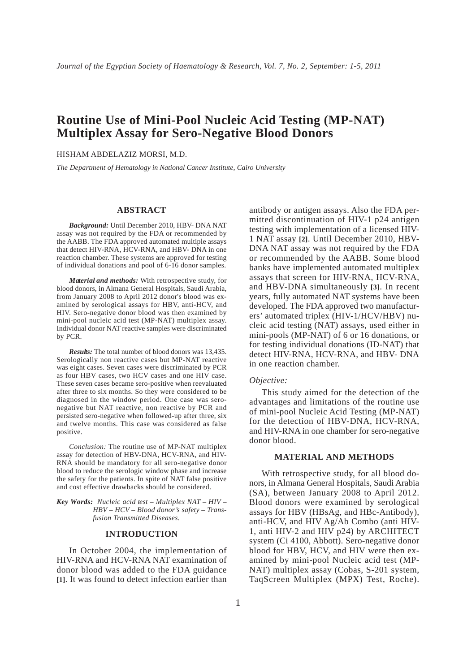# **Routine Use of Mini-Pool Nucleic Acid Testing (MP-NAT) Multiplex Assay for Sero-Negative Blood Donors**

HISHAM ABDELAZIZ MORSI, M.D.

*The Department of Hematology in National Cancer Institute, Cairo University*

#### **ABSTRACT**

*Background:* Until December 2010, HBV- DNA NAT assay was not required by the FDA or recommended by the AABB. The FDA approved automated multiple assays that detect HIV-RNA, HCV-RNA, and HBV- DNA in one reaction chamber. These systems are approved for testing of individual donations and pool of 6-16 donor samples.

*Material and methods:* With retrospective study, for blood donors, in Almana General Hospitals, Saudi Arabia, from January 2008 to April 2012 donor's blood was examined by serological assays for HBV, anti-HCV, and HIV. Sero-negative donor blood was then examined by mini-pool nucleic acid test (MP-NAT) multiplex assay. Individual donor NAT reactive samples were discriminated by PCR.

*Results:* The total number of blood donors was 13,435. Serologically non reactive cases but MP-NAT reactive was eight cases. Seven cases were discriminated by PCR as four HBV cases, two HCV cases and one HIV case. These seven cases became sero-positive when reevaluated after three to six months. So they were considered to be diagnosed in the window period. One case was seronegative but NAT reactive, non reactive by PCR and persisted sero-negative when followed-up after three, six and twelve months. This case was considered as false positive.

*Conclusion:* The routine use of MP-NAT multiplex assay for detection of HBV-DNA, HCV-RNA, and HIV-RNA should be mandatory for all sero-negative donor blood to reduce the serologic window phase and increase the safety for the patients. In spite of NAT false positive and cost effective drawbacks should be considered.

*Key Words: Nucleic acid test – Multiplex NAT – HIV – HBV – HCV – Blood donor's safety – Transfusion Transmitted Diseases.*

#### **INTRODUCTION**

In October 2004, the implementation of HIV-RNA and HCV-RNA NAT examination of donor blood was added to the FDA guidance **[1]**. It was found to detect infection earlier than

antibody or antigen assays. Also the FDA permitted discontinuation of HIV-1 p24 antigen testing with implementation of a licensed HIV-1 NAT assay **[2]**. Until December 2010, HBV-DNA NAT assay was not required by the FDA or recommended by the AABB. Some blood banks have implemented automated multiplex assays that screen for HIV-RNA, HCV-RNA, and HBV-DNA simultaneously **[3]**. In recent years, fully automated NAT systems have been developed. The FDA approved two manufacturers' automated triplex (HIV-1/HCV/HBV) nucleic acid testing (NAT) assays, used either in mini-pools (MP-NAT) of 6 or 16 donations, or for testing individual donations (ID-NAT) that detect HIV-RNA, HCV-RNA, and HBV- DNA in one reaction chamber.

#### *Objective:*

This study aimed for the detection of the advantages and limitations of the routine use of mini-pool Nucleic Acid Testing (MP-NAT) for the detection of HBV-DNA, HCV-RNA, and HIV-RNA in one chamber for sero-negative donor blood.

#### **MATERIAL AND METHODS**

With retrospective study, for all blood donors, in Almana General Hospitals, Saudi Arabia (SA), between January 2008 to April 2012. Blood donors were examined by serological assays for HBV (HBsAg, and HBc-Antibody), anti-HCV, and HIV Ag/Ab Combo (anti HIV-1, anti HIV-2 and HIV p24) by ARCHITECT system (Ci 4100, Abbott). Sero-negative donor blood for HBV, HCV, and HIV were then examined by mini-pool Nucleic acid test (MP-NAT) multiplex assay (Cobas, S-201 system, TaqScreen Multiplex (MPX) Test, Roche).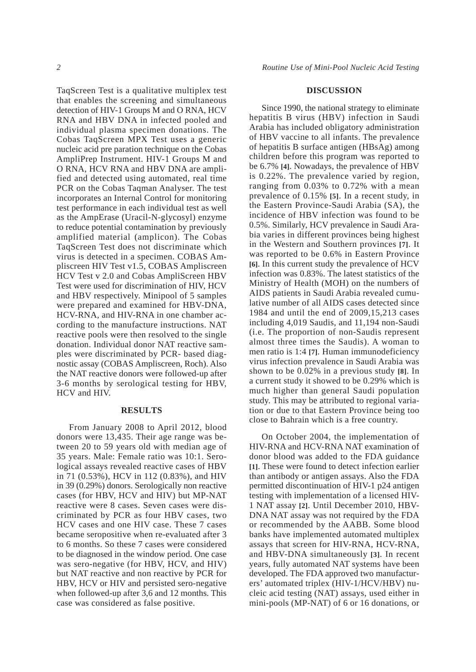TaqScreen Test is a qualitative multiplex test that enables the screening and simultaneous detection of HIV-1 Groups M and O RNA, HCV RNA and HBV DNA in infected pooled and individual plasma specimen donations. The Cobas TaqScreen MPX Test uses a generic nucleic acid pre paration technique on the Cobas AmpliPrep Instrument. HIV-1 Groups M and O RNA, HCV RNA and HBV DNA are amplified and detected using automated, real time PCR on the Cobas Taqman Analyser. The test incorporates an Internal Control for monitoring test performance in each individual test as well as the AmpErase (Uracil-N-glycosyl) enzyme to reduce potential contamination by previously amplified material (amplicon). The Cobas TaqScreen Test does not discriminate which virus is detected in a specimen. COBAS Ampliscreen HIV Test v1.5, COBAS Ampliscreen HCV Test v 2.0 and Cobas AmpliScreen HBV Test were used for discrimination of HIV, HCV and HBV respectively. Minipool of 5 samples were prepared and examined for HBV-DNA, HCV-RNA, and HIV-RNA in one chamber according to the manufacture instructions. NAT reactive pools were then resolved to the single donation. Individual donor NAT reactive samples were discriminated by PCR- based diagnostic assay (COBAS Ampliscreen, Roch). Also the NAT reactive donors were followed-up after 3-6 months by serological testing for HBV, HCV and HIV.

### **RESULTS**

From January 2008 to April 2012, blood donors were 13,435. Their age range was between 20 to 59 years old with median age of 35 years. Male: Female ratio was 10:1. Serological assays revealed reactive cases of HBV in 71 (0.53%), HCV in 112 (0.83%), and HIV in 39 (0.29%) donors. Serologically non reactive cases (for HBV, HCV and HIV) but MP-NAT reactive were 8 cases. Seven cases were discriminated by PCR as four HBV cases, two HCV cases and one HIV case. These 7 cases became seropositive when re-evaluated after 3 to 6 months. So these 7 cases were considered to be diagnosed in the window period. One case was sero-negative (for HBV, HCV, and HIV) but NAT reactive and non reactive by PCR for HBV, HCV or HIV and persisted sero-negative when followed-up after 3,6 and 12 months. This case was considered as false positive.

## **DISCUSSION**

Since 1990, the national strategy to eliminate hepatitis B virus (HBV) infection in Saudi Arabia has included obligatory administration of HBV vaccine to all infants. The prevalence of hepatitis B surface antigen (HBsAg) among children before this program was reported to be 6.7% **[4]**. Nowadays, the prevalence of HBV is 0.22%. The prevalence varied by region, ranging from 0.03% to 0.72% with a mean prevalence of 0.15% **[5]**. In a recent study, in the Eastern Province-Saudi Arabia (SA), the incidence of HBV infection was found to be 0.5%. Similarly, HCV prevalence in Saudi Arabia varies in different provinces being highest in the Western and Southern provinces **[7]**. It was reported to be 0.6% in Eastern Province **[6]**. In this current study the prevalence of HCV infection was 0.83%. The latest statistics of the Ministry of Health (MOH) on the numbers of AIDS patients in Saudi Arabia revealed cumulative number of all AIDS cases detected since 1984 and until the end of 2009,15,213 cases including 4,019 Saudis, and 11,194 non-Saudi (i.e. The proportion of non-Saudis represent almost three times the Saudis). A woman to men ratio is 1:4 **[7]**. Human immunodeficiency virus infection prevalence in Saudi Arabia was shown to be 0.02% in a previous study **[8]**. In a current study it showed to be 0.29% which is much higher than general Saudi population study. This may be attributed to regional variation or due to that Eastern Province being too close to Bahrain which is a free country.

On October 2004, the implementation of HIV-RNA and HCV-RNA NAT examination of donor blood was added to the FDA guidance **[1]**. These were found to detect infection earlier than antibody or antigen assays. Also the FDA permitted discontinuation of HIV-1 p24 antigen testing with implementation of a licensed HIV-1 NAT assay **[2]**. Until December 2010, HBV-DNA NAT assay was not required by the FDA or recommended by the AABB. Some blood banks have implemented automated multiplex assays that screen for HIV-RNA, HCV-RNA, and HBV-DNA simultaneously **[3]**. In recent years, fully automated NAT systems have been developed. The FDA approved two manufacturers' automated triplex (HIV-1/HCV/HBV) nucleic acid testing (NAT) assays, used either in mini-pools (MP-NAT) of 6 or 16 donations, or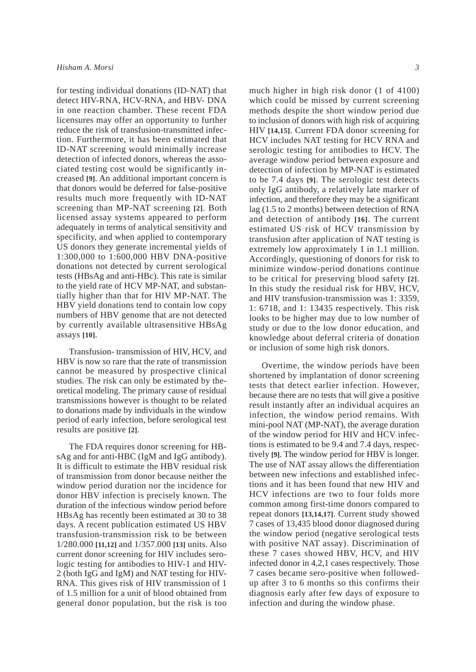for testing individual donations (ID-NAT) that detect HIV-RNA, HCV-RNA, and HBV- DNA in one reaction chamber. These recent FDA licensures may offer an opportunity to further reduce the risk of transfusion-transmitted infection. Furthermore, it has been estimated that ID-NAT screening would minimally increase detection of infected donors, whereas the associated testing cost would be significantly increased **[9]**. An additional important concern is that donors would be deferred for false-positive results much more frequently with ID-NAT screening than MP-NAT screening **[2]**. Both licensed assay systems appeared to perform adequately in terms of analytical sensitivity and specificity, and when applied to contemporary US donors they generate incremental yields of 1:300,000 to 1:600,000 HBV DNA-positive donations not detected by current serological tests (HBsAg and anti-HBc). This rate is similar to the yield rate of HCV MP-NAT, and substantially higher than that for HIV MP-NAT. The HBV yield donations tend to contain low copy numbers of HBV genome that are not detected by currently available ultrasensitive HBsAg assays **[10]**.

Transfusion- transmission of HIV, HCV, and HBV is now so rare that the rate of transmission cannot be measured by prospective clinical studies. The risk can only be estimated by theoretical modeling. The primary cause of residual transmissions however is thought to be related to donations made by individuals in the window period of early infection, before serological test results are positive **[2]**.

The FDA requires donor screening for HBsAg and for anti-HBC (IgM and IgG antibody). It is difficult to estimate the HBV residual risk of transmission from donor because neither the window period duration nor the incidence for donor HBV infection is precisely known. The duration of the infectious window period before HBsAg has recently been estimated at 30 to 38 days. A recent publication estimated US HBV transfusion-transmission risk to be between 1/280.000 **[11,12]** and 1/357.000 **[13]** units. Also current donor screening for HIV includes serologic testing for antibodies to HIV-1 and HIV-2 (both IgG and IgM) and NAT testing for HIV-RNA. This gives risk of HIV transmission of 1 of 1.5 million for a unit of blood obtained from general donor population, but the risk is too

much higher in high risk donor (1 of 4100) which could be missed by current screening methods despite the short window period due to inclusion of donors with high risk of acquiring HIV **[14,15]**. Current FDA donor screening for HCV includes NAT testing for HCV RNA and serologic testing for antibodies to HCV. The average window period between exposure and detection of infection by MP-NAT is estimated to be 7.4 days **[9]**. The serologic test detects only IgG antibody, a relatively late marker of infection, and therefore they may be a significant lag (1.5 to 2 months) between detection of RNA and detection of antibody **[16]**. The current estimated US risk of HCV transmission by transfusion after application of NAT testing is extremely low approximately 1 in 1.1 million. Accordingly, questioning of donors for risk to minimize window-period donations continue to be critical for preserving blood safety **[2]**. In this study the residual risk for HBV, HCV, and HIV transfusion-transmission was 1: 3359, 1: 6718, and 1: 13435 respectively. This risk looks to be higher may due to low number of study or due to the low donor education, and knowledge about deferral criteria of donation or inclusion of some high risk donors.

Overtime, the window periods have been shortened by implantation of donor screening tests that detect earlier infection. However, because there are no tests that will give a positive result instantly after an individual acquires an infection, the window period remains. With mini-pool NAT (MP-NAT), the average duration of the window period for HIV and HCV infections is estimated to be 9.4 and 7.4 days, respectively **[9]**. The window period for HBV is longer. The use of NAT assay allows the differentiation between new infections and established infections and it has been found that new HIV and HCV infections are two to four folds more common among first-time donors compared to repeat donors **[13,14,17]**. Current study showed 7 cases of 13,435 blood donor diagnosed during the window period (negative serological tests with positive NAT assay). Discrimination of these 7 cases showed HBV, HCV, and HIV infected donor in 4,2,1 cases respectively. Those 7 cases became sero-positive when followedup after 3 to 6 months so this confirms their diagnosis early after few days of exposure to infection and during the window phase.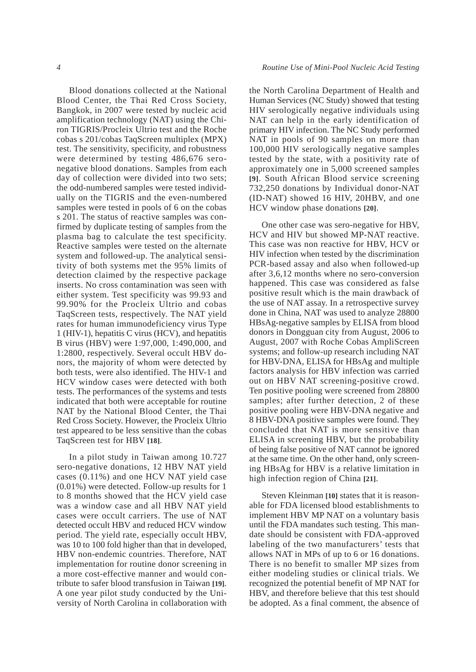Blood donations collected at the National Blood Center, the Thai Red Cross Society, Bangkok, in 2007 were tested by nucleic acid amplification technology (NAT) using the Chiron TIGRIS/Procleix Ultrio test and the Roche cobas s 201/cobas TaqScreen multiplex (MPX) test. The sensitivity, specificity, and robustness were determined by testing 486,676 seronegative blood donations. Samples from each day of collection were divided into two sets; the odd-numbered samples were tested individually on the TIGRIS and the even-numbered samples were tested in pools of 6 on the cobas s 201. The status of reactive samples was confirmed by duplicate testing of samples from the plasma bag to calculate the test specificity. Reactive samples were tested on the alternate system and followed-up. The analytical sensitivity of both systems met the 95% limits of detection claimed by the respective package inserts. No cross contamination was seen with either system. Test specificity was 99.93 and 99.90% for the Procleix Ultrio and cobas TaqScreen tests, respectively. The NAT yield rates for human immunodeficiency virus Type 1 (HIV-1), hepatitis C virus (HCV), and hepatitis B virus (HBV) were 1:97,000, 1:490,000, and 1:2800, respectively. Several occult HBV donors, the majority of whom were detected by both tests, were also identified. The HIV-1 and HCV window cases were detected with both tests. The performances of the systems and tests indicated that both were acceptable for routine NAT by the National Blood Center, the Thai Red Cross Society. However, the Procleix Ultrio test appeared to be less sensitive than the cobas TaqScreen test for HBV **[18]**.

In a pilot study in Taiwan among 10.727 sero-negative donations, 12 HBV NAT yield cases (0.11%) and one HCV NAT yield case (0.01%) were detected. Follow-up results for 1 to 8 months showed that the HCV yield case was a window case and all HBV NAT yield cases were occult carriers. The use of NAT detected occult HBV and reduced HCV window period. The yield rate, especially occult HBV, was 10 to 100 fold higher than that in developed, HBV non-endemic countries. Therefore, NAT implementation for routine donor screening in a more cost-effective manner and would contribute to safer blood transfusion in Taiwan **[19]**. A one year pilot study conducted by the University of North Carolina in collaboration with the North Carolina Department of Health and Human Services (NC Study) showed that testing HIV serologically negative individuals using NAT can help in the early identification of primary HIV infection. The NC Study performed NAT in pools of 90 samples on more than 100,000 HIV serologically negative samples tested by the state, with a positivity rate of approximately one in 5,000 screened samples **[9]**. South African Blood service screening 732,250 donations by Individual donor-NAT (ID-NAT) showed 16 HIV, 20HBV, and one HCV window phase donations **[20]**.

One other case was sero-negative for HBV, HCV and HIV but showed MP-NAT reactive. This case was non reactive for HBV, HCV or HIV infection when tested by the discrimination PCR-based assay and also when followed-up after 3,6,12 months where no sero-conversion happened. This case was considered as false positive result which is the main drawback of the use of NAT assay. In a retrospective survey done in China, NAT was used to analyze 28800 HBsAg-negative samples by ELISA from blood donors in Dongguan city from August, 2006 to August, 2007 with Roche Cobas AmpliScreen systems; and follow-up research including NAT for HBV-DNA, ELISA for HBsAg and multiple factors analysis for HBV infection was carried out on HBV NAT screening-positive crowd. Ten positive pooling were screened from 28800 samples; after further detection, 2 of these positive pooling were HBV-DNA negative and 8 HBV-DNA positive samples were found. They concluded that NAT is more sensitive than ELISA in screening HBV, but the probability of being false positive of NAT cannot be ignored at the same time. On the other hand, only screening HBsAg for HBV is a relative limitation in high infection region of China **[21]**.

Steven Kleinman **[10]** states that it is reasonable for FDA licensed blood establishments to implement HBV MP NAT on a voluntary basis until the FDA mandates such testing. This mandate should be consistent with FDA-approved labeling of the two manufacturers' tests that allows NAT in MPs of up to 6 or 16 donations. There is no benefit to smaller MP sizes from either modeling studies or clinical trials. We recognized the potential benefit of MP NAT for HBV, and therefore believe that this test should be adopted. As a final comment, the absence of